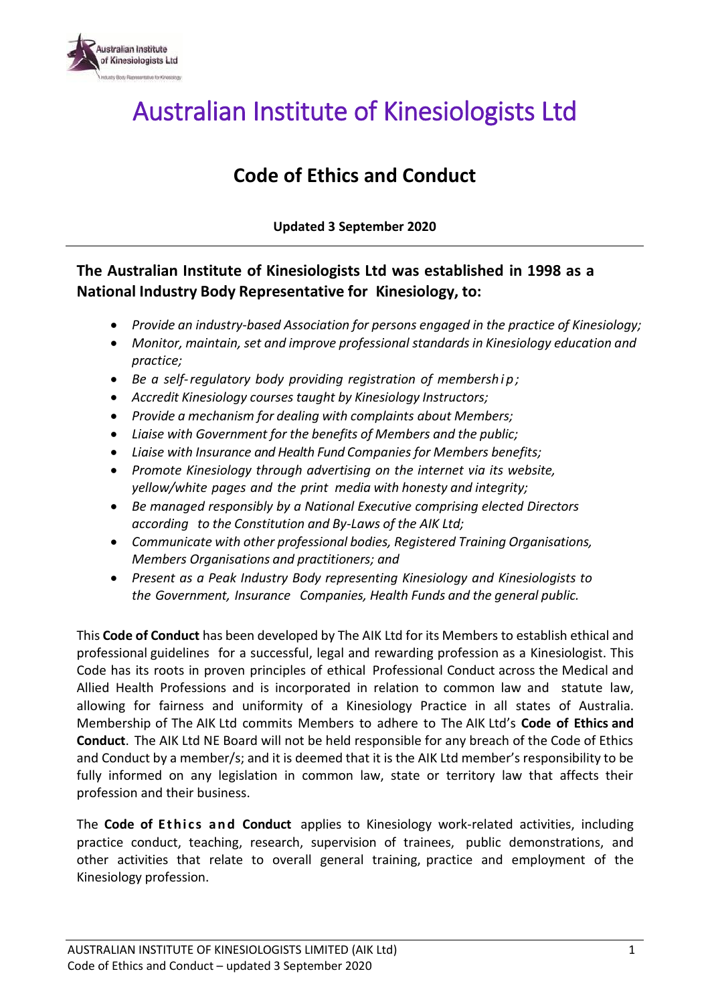

## Australian Institute of Kinesiologists Ltd

### **Code of Ethics and Conduct**

**Updated 3 September 2020**

**The Australian Institute of Kinesiologists Ltd was established in 1998 as a National Industry Body Representative for Kinesiology, to:**

- *Provide an industry-based Association for persons engaged in the practice of Kinesiology;*
- *Monitor, maintain, set and improve professional standardsin Kinesiology education and practice;*
- *Be a self-regulatory body providing registration of membersh i p ;*
- *Accredit Kinesiology courses taught by Kinesiology Instructors;*
- *Provide a mechanism for dealing with complaints about Members;*
- *Liaise with Government for the benefits of Members and the public;*
- *Liaise with Insurance and Health Fund Companies for Members benefits;*
- *Promote Kinesiology through advertising on the internet via its website, yellow/white pages and the print media with honesty and integrity;*
- *Be managed responsibly by a National Executive comprising elected Directors according to the Constitution and By-Laws of the AIK Ltd;*
- *Communicate with other professional bodies, Registered Training Organisations, Members Organisations and practitioners; and*
- *Present as a Peak Industry Body representing Kinesiology and Kinesiologists to the Government, Insurance Companies, Health Funds and the general public.*

This **Code of Conduct** has been developed by The AIK Ltd for its Members to establish ethical and professional guidelines for a successful, legal and rewarding profession as a Kinesiologist. This Code has its roots in proven principles of ethical Professional Conduct across the Medical and Allied Health Professions and is incorporated in relation to common law and statute law, allowing for fairness and uniformity of a Kinesiology Practice in all states of Australia. Membership of The AIK Ltd commits Members to adhere to The AIK Ltd's **Code of Ethics and Conduct**. The AIK Ltd NE Board will not be held responsible for any breach of the Code of Ethics and Conduct by a member/s; and it is deemed that it is the AIK Ltd member's responsibility to be fully informed on any legislation in common law, state or territory law that affects their profession and their business.

The **Code of Ethics and Conduct** applies to Kinesiology work-related activities, including practice conduct, teaching, research, supervision of trainees, public demonstrations, and other activities that relate to overall general training, practice and employment of the Kinesiology profession.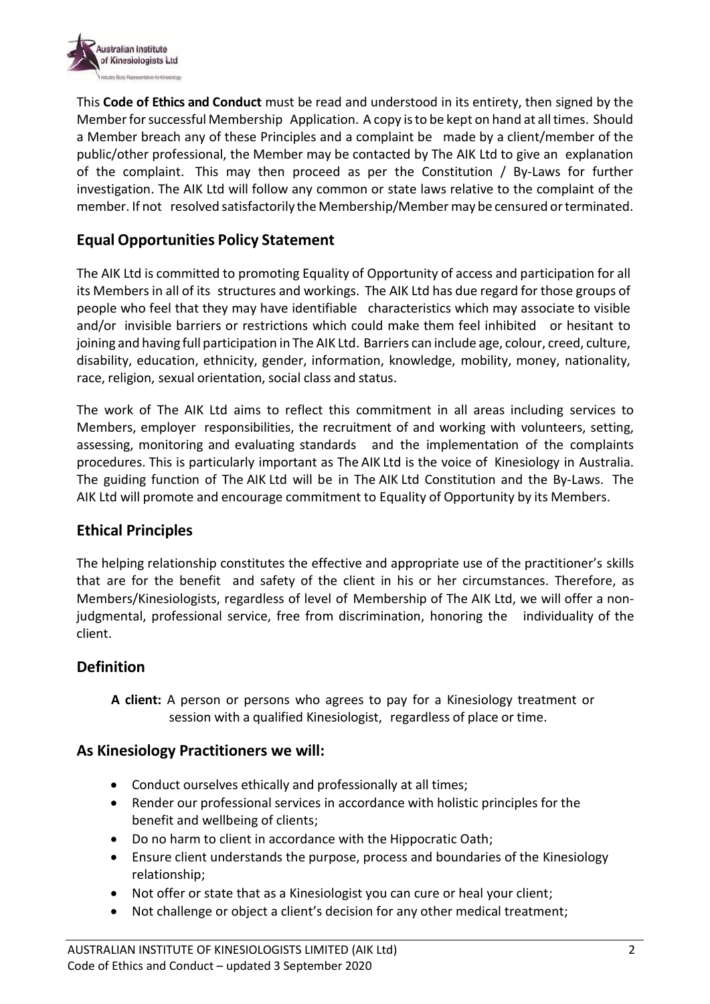

This **Code of Ethics and Conduct** must be read and understood in its entirety, then signed by the Memberforsuccessful Membership Application. A copy isto be kept on hand at alltimes. Should a Member breach any of these Principles and a complaint be made by a client/member of the public/other professional, the Member may be contacted by The AIK Ltd to give an explanation of the complaint. This may then proceed as per the Constitution / By-Laws for further investigation. The AIK Ltd will follow any common or state laws relative to the complaint of the member. If not resolved satisfactorily the Membership/Member may be censured or terminated.

#### **Equal Opportunities Policy Statement**

The AIK Ltd is committed to promoting Equality of Opportunity of access and participation for all its Membersin all of its structures and workings. The AIK Ltd has due regard for those groups of people who feel that they may have identifiable characteristics which may associate to visible and/or invisible barriers or restrictions which could make them feel inhibited or hesitant to joining and having full participation in The AIK Ltd. Barriers can include age, colour, creed, culture, disability, education, ethnicity, gender, information, knowledge, mobility, money, nationality, race, religion, sexual orientation, social class and status.

The work of The AIK Ltd aims to reflect this commitment in all areas including services to Members, employer responsibilities, the recruitment of and working with volunteers, setting, assessing, monitoring and evaluating standards and the implementation of the complaints procedures. This is particularly important as The AIK Ltd is the voice of Kinesiology in Australia. The guiding function of The AIK Ltd will be in The AIK Ltd Constitution and the By-Laws. The AIK Ltd will promote and encourage commitment to Equality of Opportunity by its Members.

#### **Ethical Principles**

The helping relationship constitutes the effective and appropriate use of the practitioner's skills that are for the benefit and safety of the client in his or her circumstances. Therefore, as Members/Kinesiologists, regardless of level of Membership of The AIK Ltd, we will offer a nonjudgmental, professional service, free from discrimination, honoring the individuality of the client.

#### **Definition**

**A client:** A person or persons who agrees to pay for a Kinesiology treatment or session with a qualified Kinesiologist, regardless of place or time.

#### **As Kinesiology Practitioners we will:**

- Conduct ourselves ethically and professionally at all times;
- Render our professional services in accordance with holistic principles for the benefit and wellbeing of clients;
- Do no harm to client in accordance with the Hippocratic Oath;
- Ensure client understands the purpose, process and boundaries of the Kinesiology relationship;
- Not offer or state that as a Kinesiologist you can cure or heal your client;
- Not challenge or object a client's decision for any other medical treatment;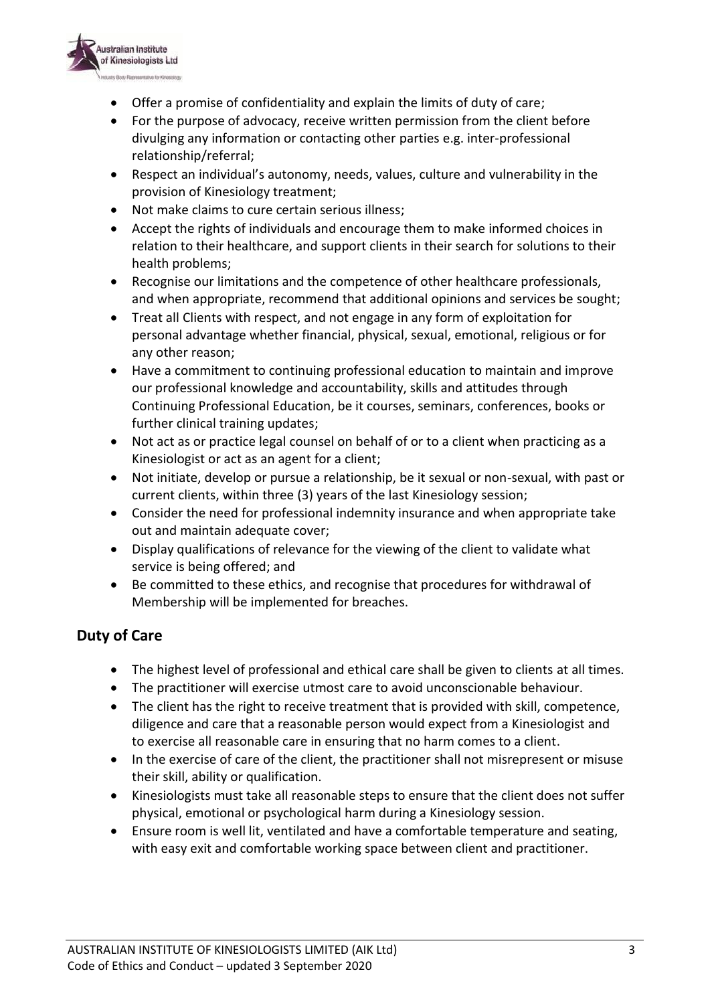

- Offer a promise of confidentiality and explain the limits of duty of care;
- For the purpose of advocacy, receive written permission from the client before divulging any information or contacting other parties e.g. inter-professional relationship/referral;
- Respect an individual's autonomy, needs, values, culture and vulnerability in the provision of Kinesiology treatment;
- Not make claims to cure certain serious illness;
- Accept the rights of individuals and encourage them to make informed choices in relation to their healthcare, and support clients in their search for solutions to their health problems;
- Recognise our limitations and the competence of other healthcare professionals, and when appropriate, recommend that additional opinions and services be sought;
- Treat all Clients with respect, and not engage in any form of exploitation for personal advantage whether financial, physical, sexual, emotional, religious or for any other reason;
- Have a commitment to continuing professional education to maintain and improve our professional knowledge and accountability, skills and attitudes through Continuing Professional Education, be it courses, seminars, conferences, books or further clinical training updates;
- Not act as or practice legal counsel on behalf of or to a client when practicing as a Kinesiologist or act as an agent for a client;
- Not initiate, develop or pursue a relationship, be it sexual or non-sexual, with past or current clients, within three (3) years of the last Kinesiology session;
- Consider the need for professional indemnity insurance and when appropriate take out and maintain adequate cover;
- Display qualifications of relevance for the viewing of the client to validate what service is being offered; and
- Be committed to these ethics, and recognise that procedures for withdrawal of Membership will be implemented for breaches.

#### **Duty of Care**

- The highest level of professional and ethical care shall be given to clients at all times.
- The practitioner will exercise utmost care to avoid unconscionable behaviour.
- The client has the right to receive treatment that is provided with skill, competence, diligence and care that a reasonable person would expect from a Kinesiologist and to exercise all reasonable care in ensuring that no harm comes to a client.
- In the exercise of care of the client, the practitioner shall not misrepresent or misuse their skill, ability or qualification.
- Kinesiologists must take all reasonable steps to ensure that the client does not suffer physical, emotional or psychological harm during a Kinesiology session.
- Ensure room is well lit, ventilated and have a comfortable temperature and seating, with easy exit and comfortable working space between client and practitioner.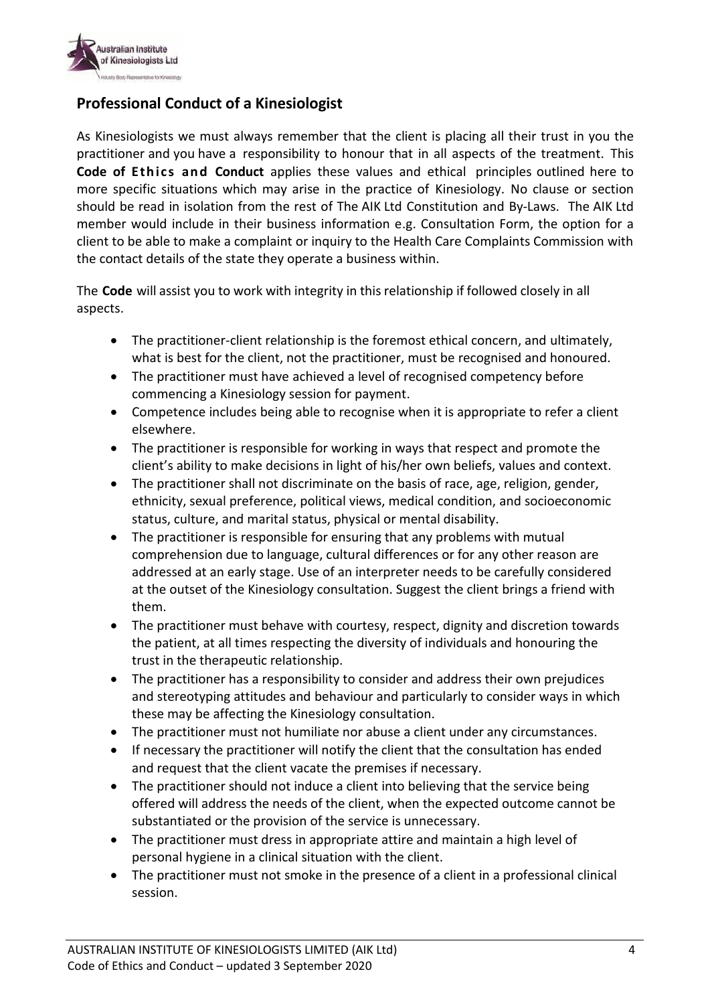

#### **Professional Conduct of a Kinesiologist**

As Kinesiologists we must always remember that the client is placing all their trust in you the practitioner and you have a responsibility to honour that in all aspects of the treatment. This **Code of Ethics and Conduct** applies these values and ethical principles outlined here to more specific situations which may arise in the practice of Kinesiology. No clause or section should be read in isolation from the rest of The AIK Ltd Constitution and By-Laws. The AIK Ltd member would include in their business information e.g. Consultation Form, the option for a client to be able to make a complaint or inquiry to the Health Care Complaints Commission with the contact details of the state they operate a business within.

The **Code** will assist you to work with integrity in this relationship if followed closely in all aspects.

- The practitioner-client relationship is the foremost ethical concern, and ultimately, what is best for the client, not the practitioner, must be recognised and honoured.
- The practitioner must have achieved a level of recognised competency before commencing a Kinesiology session for payment.
- Competence includes being able to recognise when it is appropriate to refer a client elsewhere.
- The practitioner is responsible for working in ways that respect and promote the client's ability to make decisions in light of his/her own beliefs, values and context.
- The practitioner shall not discriminate on the basis of race, age, religion, gender, ethnicity, sexual preference, political views, medical condition, and socioeconomic status, culture, and marital status, physical or mental disability.
- The practitioner is responsible for ensuring that any problems with mutual comprehension due to language, cultural differences or for any other reason are addressed at an early stage. Use of an interpreter needs to be carefully considered at the outset of the Kinesiology consultation. Suggest the client brings a friend with them.
- The practitioner must behave with courtesy, respect, dignity and discretion towards the patient, at all times respecting the diversity of individuals and honouring the trust in the therapeutic relationship.
- The practitioner has a responsibility to consider and address their own prejudices and stereotyping attitudes and behaviour and particularly to consider ways in which these may be affecting the Kinesiology consultation.
- The practitioner must not humiliate nor abuse a client under any circumstances.
- If necessary the practitioner will notify the client that the consultation has ended and request that the client vacate the premises if necessary.
- The practitioner should not induce a client into believing that the service being offered will address the needs of the client, when the expected outcome cannot be substantiated or the provision of the service is unnecessary.
- The practitioner must dress in appropriate attire and maintain a high level of personal hygiene in a clinical situation with the client.
- The practitioner must not smoke in the presence of a client in a professional clinical session.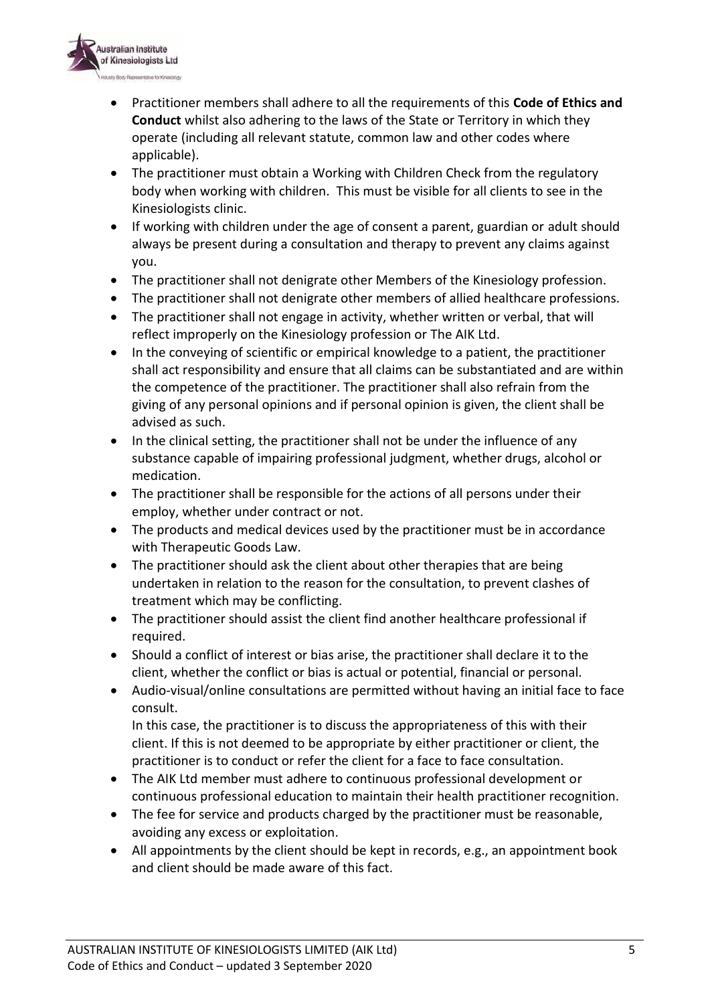

- Practitioner members shall adhere to all the requirements of this **Code of Ethics and Conduct** whilst also adhering to the laws of the State or Territory in which they operate (including all relevant statute, common law and other codes where applicable).
- The practitioner must obtain a Working with Children Check from the regulatory body when working with children. This must be visible for all clients to see in the Kinesiologists clinic.
- If working with children under the age of consent a parent, guardian or adult should always be present during a consultation and therapy to prevent any claims against you.
- The practitioner shall not denigrate other Members of the Kinesiology profession.
- The practitioner shall not denigrate other members of allied healthcare professions.
- The practitioner shall not engage in activity, whether written or verbal, that will reflect improperly on the Kinesiology profession or The AIK Ltd.
- In the conveying of scientific or empirical knowledge to a patient, the practitioner shall act responsibility and ensure that all claims can be substantiated and are within the competence of the practitioner. The practitioner shall also refrain from the giving of any personal opinions and if personal opinion is given, the client shall be advised as such.
- In the clinical setting, the practitioner shall not be under the influence of any substance capable of impairing professional judgment, whether drugs, alcohol or medication.
- The practitioner shall be responsible for the actions of all persons under their employ, whether under contract or not.
- The products and medical devices used by the practitioner must be in accordance with Therapeutic Goods Law.
- The practitioner should ask the client about other therapies that are being undertaken in relation to the reason for the consultation, to prevent clashes of treatment which may be conflicting.
- The practitioner should assist the client find another healthcare professional if required.
- Should a conflict of interest or bias arise, the practitioner shall declare it to the client, whether the conflict or bias is actual or potential, financial or personal.
- Audio-visual/online consultations are permitted without having an initial face to face consult.

In this case, the practitioner is to discuss the appropriateness of this with their client. If this is not deemed to be appropriate by either practitioner or client, the practitioner is to conduct or refer the client for a face to face consultation.

- The AIK Ltd member must adhere to continuous professional development or continuous professional education to maintain their health practitioner recognition.
- The fee for service and products charged by the practitioner must be reasonable, avoiding any excess or exploitation.
- All appointments by the client should be kept in records, e.g., an appointment book and client should be made aware of this fact.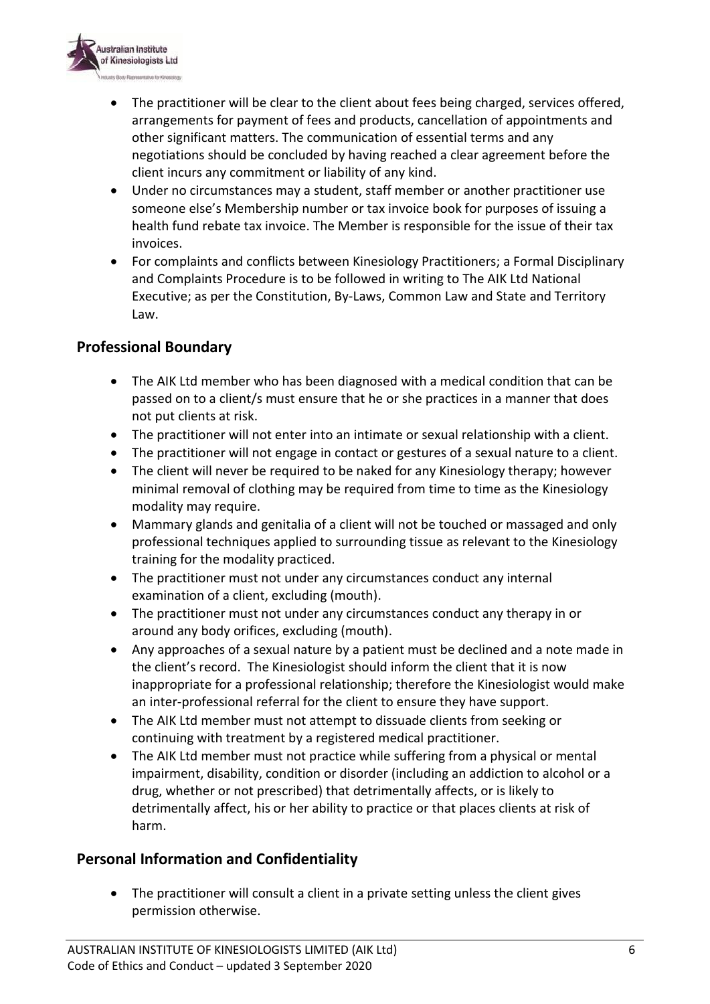

- The practitioner will be clear to the client about fees being charged, services offered, arrangements for payment of fees and products, cancellation of appointments and other significant matters. The communication of essential terms and any negotiations should be concluded by having reached a clear agreement before the client incurs any commitment or liability of any kind.
- Under no circumstances may a student, staff member or another practitioner use someone else's Membership number or tax invoice book for purposes of issuing a health fund rebate tax invoice. The Member is responsible for the issue of their tax invoices.
- For complaints and conflicts between Kinesiology Practitioners; a Formal Disciplinary and Complaints Procedure is to be followed in writing to The AIK Ltd National Executive; as per the Constitution, By-Laws, Common Law and State and Territory Law.

#### **Professional Boundary**

- The AIK Ltd member who has been diagnosed with a medical condition that can be passed on to a client/s must ensure that he or she practices in a manner that does not put clients at risk.
- The practitioner will not enter into an intimate or sexual relationship with a client.
- The practitioner will not engage in contact or gestures of a sexual nature to a client.
- The client will never be required to be naked for any Kinesiology therapy; however minimal removal of clothing may be required from time to time as the Kinesiology modality may require.
- Mammary glands and genitalia of a client will not be touched or massaged and only professional techniques applied to surrounding tissue as relevant to the Kinesiology training for the modality practiced.
- The practitioner must not under any circumstances conduct any internal examination of a client, excluding (mouth).
- The practitioner must not under any circumstances conduct any therapy in or around any body orifices, excluding (mouth).
- Any approaches of a sexual nature by a patient must be declined and a note made in the client's record. The Kinesiologist should inform the client that it is now inappropriate for a professional relationship; therefore the Kinesiologist would make an inter-professional referral for the client to ensure they have support.
- The AIK Ltd member must not attempt to dissuade clients from seeking or continuing with treatment by a registered medical practitioner.
- The AIK Ltd member must not practice while suffering from a physical or mental impairment, disability, condition or disorder (including an addiction to alcohol or a drug, whether or not prescribed) that detrimentally affects, or is likely to detrimentally affect, his or her ability to practice or that places clients at risk of harm.

#### **Personal Information and Confidentiality**

 The practitioner will consult a client in a private setting unless the client gives permission otherwise.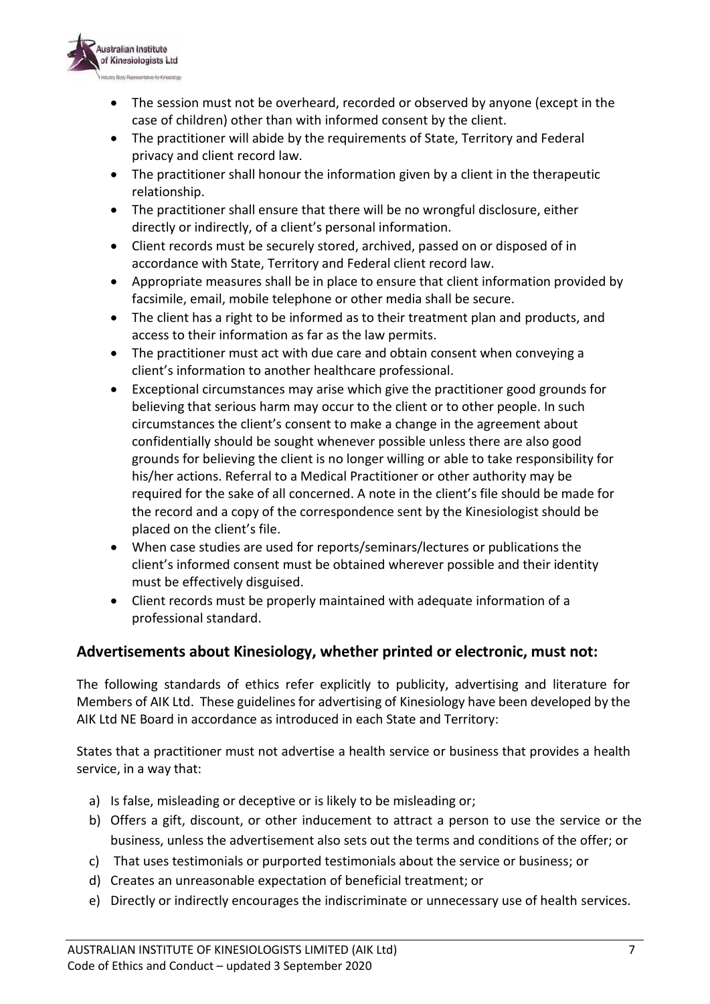

- The session must not be overheard, recorded or observed by anyone (except in the case of children) other than with informed consent by the client.
- The practitioner will abide by the requirements of State, Territory and Federal privacy and client record law.
- The practitioner shall honour the information given by a client in the therapeutic relationship.
- The practitioner shall ensure that there will be no wrongful disclosure, either directly or indirectly, of a client's personal information.
- Client records must be securely stored, archived, passed on or disposed of in accordance with State, Territory and Federal client record law.
- Appropriate measures shall be in place to ensure that client information provided by facsimile, email, mobile telephone or other media shall be secure.
- The client has a right to be informed as to their treatment plan and products, and access to their information as far as the law permits.
- The practitioner must act with due care and obtain consent when conveying a client's information to another healthcare professional.
- Exceptional circumstances may arise which give the practitioner good grounds for believing that serious harm may occur to the client or to other people. In such circumstances the client's consent to make a change in the agreement about confidentially should be sought whenever possible unless there are also good grounds for believing the client is no longer willing or able to take responsibility for his/her actions. Referral to a Medical Practitioner or other authority may be required for the sake of all concerned. A note in the client's file should be made for the record and a copy of the correspondence sent by the Kinesiologist should be placed on the client's file.
- When case studies are used for reports/seminars/lectures or publications the client's informed consent must be obtained wherever possible and their identity must be effectively disguised.
- Client records must be properly maintained with adequate information of a professional standard.

#### **Advertisements about Kinesiology, whether printed or electronic, must not:**

The following standards of ethics refer explicitly to publicity, advertising and literature for Members of AIK Ltd. These guidelines for advertising of Kinesiology have been developed by the AIK Ltd NE Board in accordance as introduced in each State and Territory:

States that a practitioner must not advertise a health service or business that provides a health service, in a way that:

- a) Is false, misleading or deceptive or is likely to be misleading or;
- b) Offers a gift, discount, or other inducement to attract a person to use the service or the business, unless the advertisement also sets out the terms and conditions of the offer; or
- c) That uses testimonials or purported testimonials about the service or business; or
- d) Creates an unreasonable expectation of beneficial treatment; or
- e) Directly or indirectly encourages the indiscriminate or unnecessary use of health services.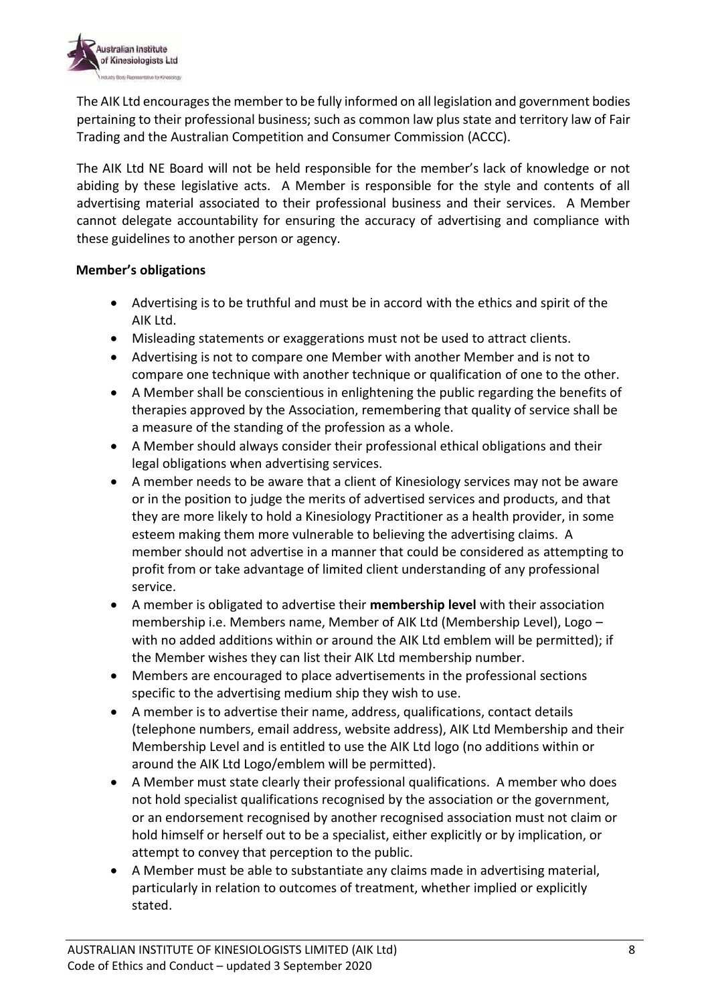

The AIK Ltd encourages the member to be fully informed on all legislation and government bodies pertaining to their professional business; such as common law plus state and territory law of Fair Trading and the Australian Competition and Consumer Commission (ACCC).

The AIK Ltd NE Board will not be held responsible for the member's lack of knowledge or not abiding by these legislative acts. A Member is responsible for the style and contents of all advertising material associated to their professional business and their services. A Member cannot delegate accountability for ensuring the accuracy of advertising and compliance with these guidelines to another person or agency.

#### **Member's obligations**

- Advertising is to be truthful and must be in accord with the ethics and spirit of the AIK Ltd.
- Misleading statements or exaggerations must not be used to attract clients.
- Advertising is not to compare one Member with another Member and is not to compare one technique with another technique or qualification of one to the other.
- A Member shall be conscientious in enlightening the public regarding the benefits of therapies approved by the Association, remembering that quality of service shall be a measure of the standing of the profession as a whole.
- A Member should always consider their professional ethical obligations and their legal obligations when advertising services.
- A member needs to be aware that a client of Kinesiology services may not be aware or in the position to judge the merits of advertised services and products, and that they are more likely to hold a Kinesiology Practitioner as a health provider, in some esteem making them more vulnerable to believing the advertising claims. A member should not advertise in a manner that could be considered as attempting to profit from or take advantage of limited client understanding of any professional service.
- A member is obligated to advertise their **membership level** with their association membership i.e. Members name, Member of AIK Ltd (Membership Level), Logo – with no added additions within or around the AIK Ltd emblem will be permitted); if the Member wishes they can list their AIK Ltd membership number.
- Members are encouraged to place advertisements in the professional sections specific to the advertising medium ship they wish to use.
- A member is to advertise their name, address, qualifications, contact details (telephone numbers, email address, website address), AIK Ltd Membership and their Membership Level and is entitled to use the AIK Ltd logo (no additions within or around the AIK Ltd Logo/emblem will be permitted).
- A Member must state clearly their professional qualifications. A member who does not hold specialist qualifications recognised by the association or the government, or an endorsement recognised by another recognised association must not claim or hold himself or herself out to be a specialist, either explicitly or by implication, or attempt to convey that perception to the public.
- A Member must be able to substantiate any claims made in advertising material, particularly in relation to outcomes of treatment, whether implied or explicitly stated.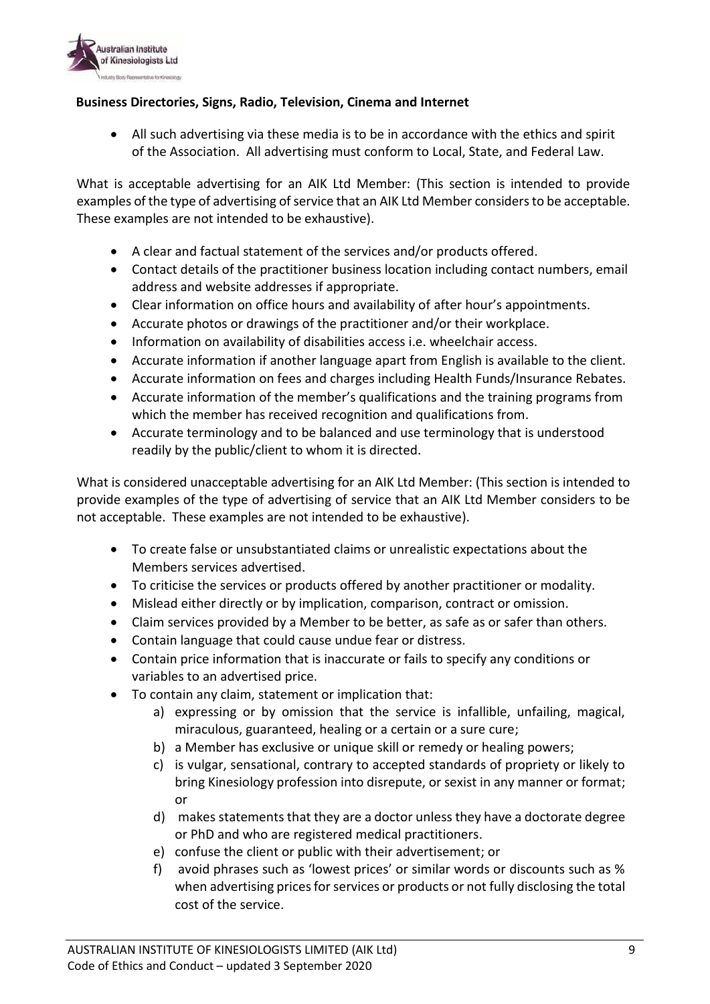

#### **Business Directories, Signs, Radio, Television, Cinema and Internet**

 All such advertising via these media is to be in accordance with the ethics and spirit of the Association. All advertising must conform to Local, State, and Federal Law.

What is acceptable advertising for an AIK Ltd Member: (This section is intended to provide examples of the type of advertising of service that an AIK Ltd Member considers to be acceptable. These examples are not intended to be exhaustive).

- A clear and factual statement of the services and/or products offered.
- Contact details of the practitioner business location including contact numbers, email address and website addresses if appropriate.
- Clear information on office hours and availability of after hour's appointments.
- Accurate photos or drawings of the practitioner and/or their workplace.
- Information on availability of disabilities access i.e. wheelchair access.
- Accurate information if another language apart from English is available to the client.
- Accurate information on fees and charges including Health Funds/Insurance Rebates.
- Accurate information of the member's qualifications and the training programs from which the member has received recognition and qualifications from.
- Accurate terminology and to be balanced and use terminology that is understood readily by the public/client to whom it is directed.

What is considered unacceptable advertising for an AIK Ltd Member: (This section is intended to provide examples of the type of advertising of service that an AIK Ltd Member considers to be not acceptable. These examples are not intended to be exhaustive).

- To create false or unsubstantiated claims or unrealistic expectations about the Members services advertised.
- To criticise the services or products offered by another practitioner or modality.
- Mislead either directly or by implication, comparison, contract or omission.
- Claim services provided by a Member to be better, as safe as or safer than others.
- Contain language that could cause undue fear or distress.
- Contain price information that is inaccurate or fails to specify any conditions or variables to an advertised price.
- To contain any claim, statement or implication that:
	- a) expressing or by omission that the service is infallible, unfailing, magical, miraculous, guaranteed, healing or a certain or a sure cure;
	- b) a Member has exclusive or unique skill or remedy or healing powers;
	- c) is vulgar, sensational, contrary to accepted standards of propriety or likely to bring Kinesiology profession into disrepute, or sexist in any manner or format; or
	- d) makes statements that they are a doctor unless they have a doctorate degree or PhD and who are registered medical practitioners.
	- e) confuse the client or public with their advertisement; or
	- f) avoid phrases such as 'lowest prices' or similar words or discounts such as % when advertising prices for services or products or not fully disclosing the total cost of the service.